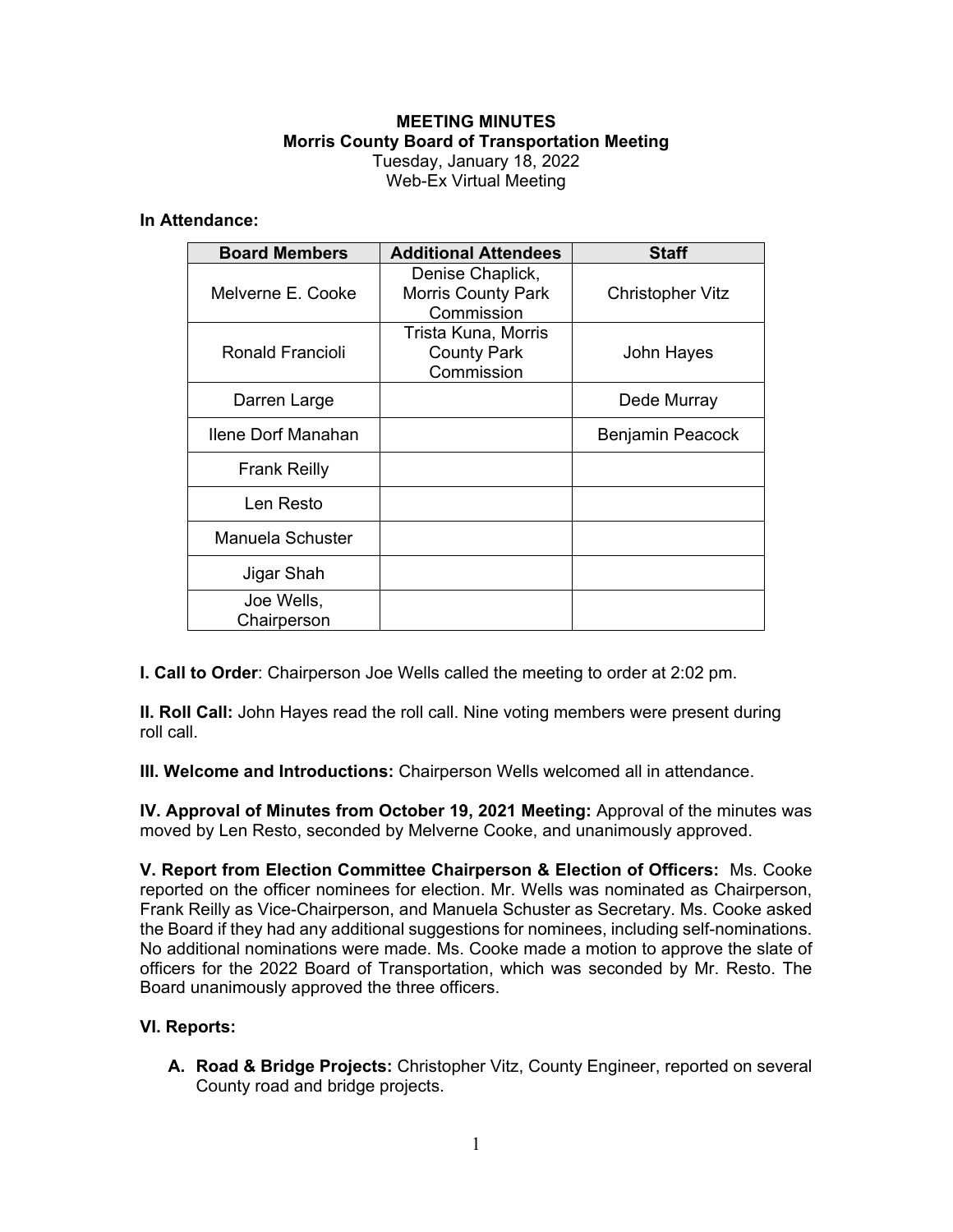# **MEETING MINUTES Morris County Board of Transportation Meeting**  Tuesday, January 18, 2022 Web-Ex Virtual Meeting

### **In Attendance:**

| <b>Board Members</b>      | <b>Additional Attendees</b>                                 | <b>Staff</b>     |
|---------------------------|-------------------------------------------------------------|------------------|
| Melverne E. Cooke         | Denise Chaplick,<br><b>Morris County Park</b><br>Commission | Christopher Vitz |
| Ronald Francioli          | Trista Kuna, Morris<br><b>County Park</b><br>Commission     | John Hayes       |
| Darren Large              |                                                             | Dede Murray      |
| Ilene Dorf Manahan        |                                                             | Benjamin Peacock |
| <b>Frank Reilly</b>       |                                                             |                  |
| Len Resto                 |                                                             |                  |
| Manuela Schuster          |                                                             |                  |
| Jigar Shah                |                                                             |                  |
| Joe Wells,<br>Chairperson |                                                             |                  |

**I. Call to Order**: Chairperson Joe Wells called the meeting to order at 2:02 pm.

**II. Roll Call:** John Hayes read the roll call. Nine voting members were present during roll call.

**III. Welcome and Introductions:** Chairperson Wells welcomed all in attendance.

**IV. Approval of Minutes from October 19, 2021 Meeting:** Approval of the minutes was moved by Len Resto, seconded by Melverne Cooke, and unanimously approved.

**V. Report from Election Committee Chairperson & Election of Officers:** Ms. Cooke reported on the officer nominees for election. Mr. Wells was nominated as Chairperson, Frank Reilly as Vice-Chairperson, and Manuela Schuster as Secretary. Ms. Cooke asked the Board if they had any additional suggestions for nominees, including self-nominations. No additional nominations were made. Ms. Cooke made a motion to approve the slate of officers for the 2022 Board of Transportation, which was seconded by Mr. Resto. The Board unanimously approved the three officers.

# **VI. Reports:**

**A. Road & Bridge Projects:** Christopher Vitz, County Engineer, reported on several County road and bridge projects.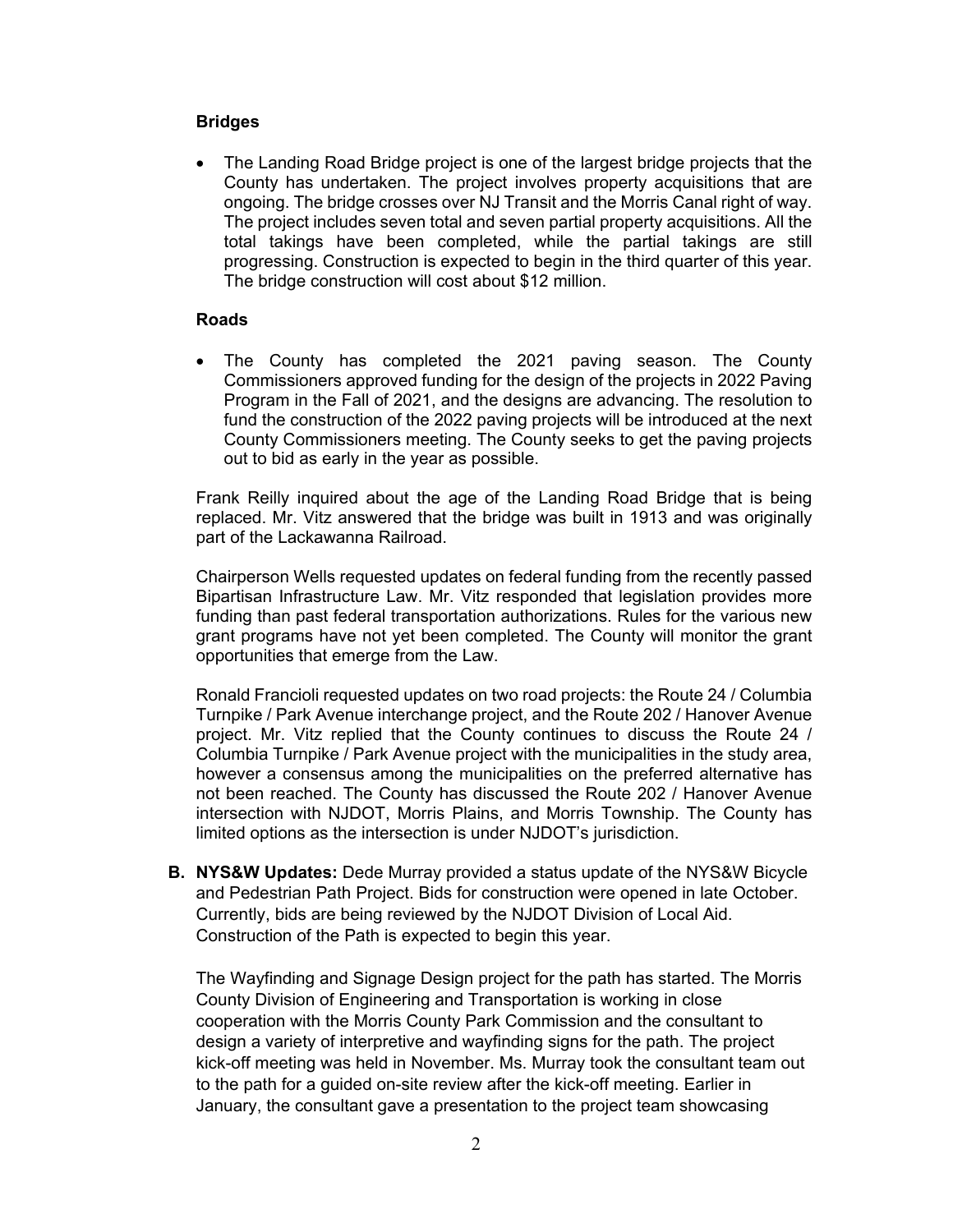## **Bridges**

 The Landing Road Bridge project is one of the largest bridge projects that the County has undertaken. The project involves property acquisitions that are ongoing. The bridge crosses over NJ Transit and the Morris Canal right of way. The project includes seven total and seven partial property acquisitions. All the total takings have been completed, while the partial takings are still progressing. Construction is expected to begin in the third quarter of this year. The bridge construction will cost about \$12 million.

### **Roads**

 The County has completed the 2021 paving season. The County Commissioners approved funding for the design of the projects in 2022 Paving Program in the Fall of 2021, and the designs are advancing. The resolution to fund the construction of the 2022 paving projects will be introduced at the next County Commissioners meeting. The County seeks to get the paving projects out to bid as early in the year as possible.

Frank Reilly inquired about the age of the Landing Road Bridge that is being replaced. Mr. Vitz answered that the bridge was built in 1913 and was originally part of the Lackawanna Railroad.

Chairperson Wells requested updates on federal funding from the recently passed Bipartisan Infrastructure Law. Mr. Vitz responded that legislation provides more funding than past federal transportation authorizations. Rules for the various new grant programs have not yet been completed. The County will monitor the grant opportunities that emerge from the Law.

Ronald Francioli requested updates on two road projects: the Route 24 / Columbia Turnpike / Park Avenue interchange project, and the Route 202 / Hanover Avenue project. Mr. Vitz replied that the County continues to discuss the Route 24 / Columbia Turnpike / Park Avenue project with the municipalities in the study area, however a consensus among the municipalities on the preferred alternative has not been reached. The County has discussed the Route 202 / Hanover Avenue intersection with NJDOT, Morris Plains, and Morris Township. The County has limited options as the intersection is under NJDOT's jurisdiction.

**B. NYS&W Updates:** Dede Murray provided a status update of the NYS&W Bicycle and Pedestrian Path Project. Bids for construction were opened in late October. Currently, bids are being reviewed by the NJDOT Division of Local Aid. Construction of the Path is expected to begin this year.

The Wayfinding and Signage Design project for the path has started. The Morris County Division of Engineering and Transportation is working in close cooperation with the Morris County Park Commission and the consultant to design a variety of interpretive and wayfinding signs for the path. The project kick-off meeting was held in November. Ms. Murray took the consultant team out to the path for a guided on-site review after the kick-off meeting. Earlier in January, the consultant gave a presentation to the project team showcasing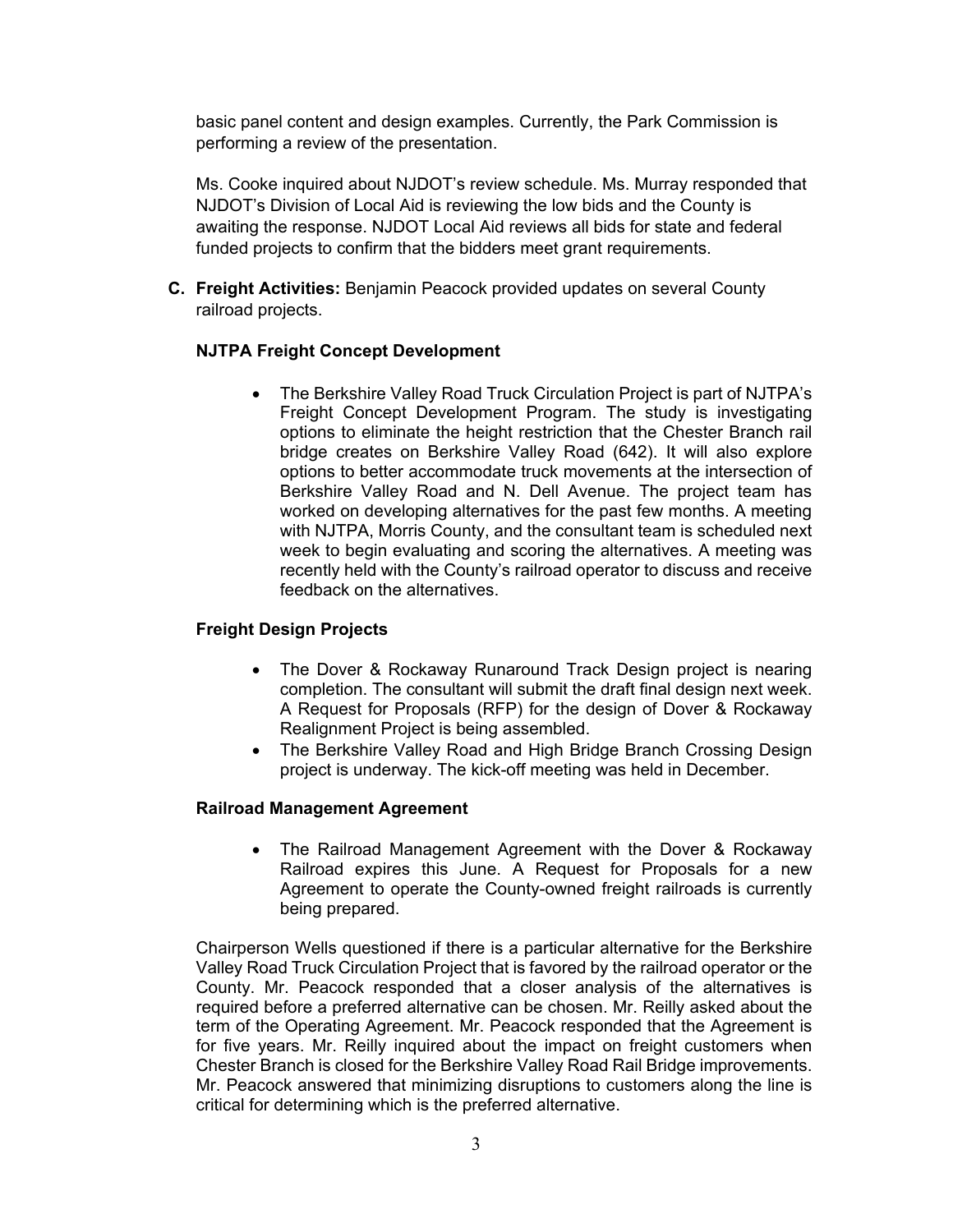basic panel content and design examples. Currently, the Park Commission is performing a review of the presentation.

Ms. Cooke inquired about NJDOT's review schedule. Ms. Murray responded that NJDOT's Division of Local Aid is reviewing the low bids and the County is awaiting the response. NJDOT Local Aid reviews all bids for state and federal funded projects to confirm that the bidders meet grant requirements.

**C. Freight Activities:** Benjamin Peacock provided updates on several County railroad projects.

# **NJTPA Freight Concept Development**

 The Berkshire Valley Road Truck Circulation Project is part of NJTPA's Freight Concept Development Program. The study is investigating options to eliminate the height restriction that the Chester Branch rail bridge creates on Berkshire Valley Road (642). It will also explore options to better accommodate truck movements at the intersection of Berkshire Valley Road and N. Dell Avenue. The project team has worked on developing alternatives for the past few months. A meeting with NJTPA, Morris County, and the consultant team is scheduled next week to begin evaluating and scoring the alternatives. A meeting was recently held with the County's railroad operator to discuss and receive feedback on the alternatives.

# **Freight Design Projects**

- The Dover & Rockaway Runaround Track Design project is nearing completion. The consultant will submit the draft final design next week. A Request for Proposals (RFP) for the design of Dover & Rockaway Realignment Project is being assembled.
- The Berkshire Valley Road and High Bridge Branch Crossing Design project is underway. The kick-off meeting was held in December.

# **Railroad Management Agreement**

 The Railroad Management Agreement with the Dover & Rockaway Railroad expires this June. A Request for Proposals for a new Agreement to operate the County-owned freight railroads is currently being prepared.

Chairperson Wells questioned if there is a particular alternative for the Berkshire Valley Road Truck Circulation Project that is favored by the railroad operator or the County. Mr. Peacock responded that a closer analysis of the alternatives is required before a preferred alternative can be chosen. Mr. Reilly asked about the term of the Operating Agreement. Mr. Peacock responded that the Agreement is for five years. Mr. Reilly inquired about the impact on freight customers when Chester Branch is closed for the Berkshire Valley Road Rail Bridge improvements. Mr. Peacock answered that minimizing disruptions to customers along the line is critical for determining which is the preferred alternative.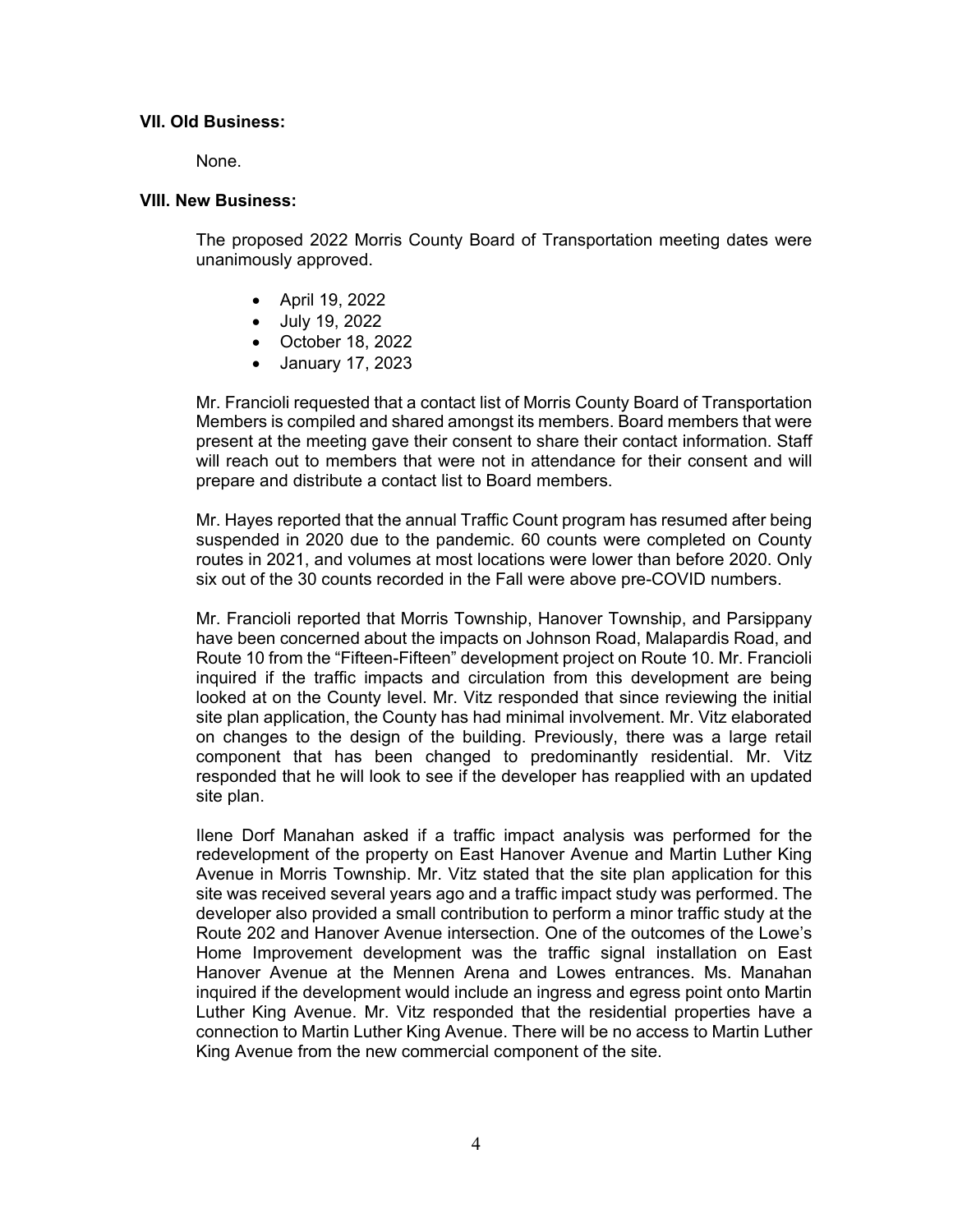### **VII. Old Business:**

None.

#### **VIII. New Business:**

The proposed 2022 Morris County Board of Transportation meeting dates were unanimously approved.

- April 19, 2022
- July 19, 2022
- October 18, 2022
- January 17, 2023

Mr. Francioli requested that a contact list of Morris County Board of Transportation Members is compiled and shared amongst its members. Board members that were present at the meeting gave their consent to share their contact information. Staff will reach out to members that were not in attendance for their consent and will prepare and distribute a contact list to Board members.

Mr. Hayes reported that the annual Traffic Count program has resumed after being suspended in 2020 due to the pandemic. 60 counts were completed on County routes in 2021, and volumes at most locations were lower than before 2020. Only six out of the 30 counts recorded in the Fall were above pre-COVID numbers.

Mr. Francioli reported that Morris Township, Hanover Township, and Parsippany have been concerned about the impacts on Johnson Road, Malapardis Road, and Route 10 from the "Fifteen-Fifteen" development project on Route 10. Mr. Francioli inquired if the traffic impacts and circulation from this development are being looked at on the County level. Mr. Vitz responded that since reviewing the initial site plan application, the County has had minimal involvement. Mr. Vitz elaborated on changes to the design of the building. Previously, there was a large retail component that has been changed to predominantly residential. Mr. Vitz responded that he will look to see if the developer has reapplied with an updated site plan.

Ilene Dorf Manahan asked if a traffic impact analysis was performed for the redevelopment of the property on East Hanover Avenue and Martin Luther King Avenue in Morris Township. Mr. Vitz stated that the site plan application for this site was received several years ago and a traffic impact study was performed. The developer also provided a small contribution to perform a minor traffic study at the Route 202 and Hanover Avenue intersection. One of the outcomes of the Lowe's Home Improvement development was the traffic signal installation on East Hanover Avenue at the Mennen Arena and Lowes entrances. Ms. Manahan inquired if the development would include an ingress and egress point onto Martin Luther King Avenue. Mr. Vitz responded that the residential properties have a connection to Martin Luther King Avenue. There will be no access to Martin Luther King Avenue from the new commercial component of the site.